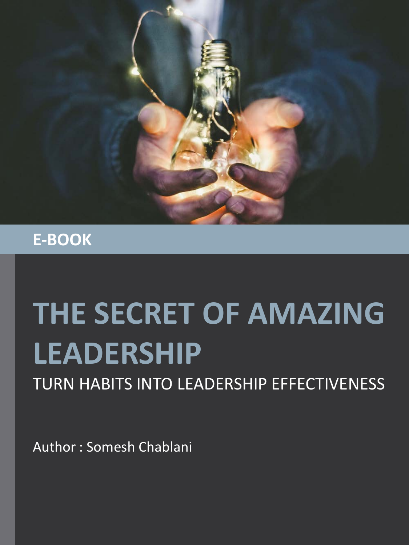

#### **E-BOOK**

# **THE SECRET OF AMAZING LEADERSHIP**

TURN HABITS INTO LEADERSHIP EFFECTIVENESS

Author : Somesh Chablani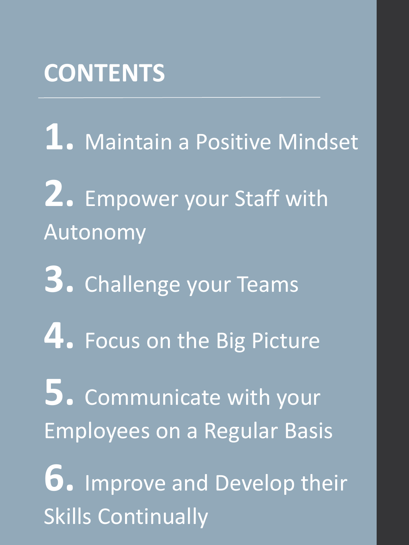### **CONTENTS**

- **1.** Maintain a Positive Mindset
- **2.** Empower your Staff with Autonomy
- **3.** Challenge your Teams
- **4.** Focus on the Big Picture
- **5.** Communicate with your Employees on a Regular Basis
- **6.** Improve and Develop their Skills Continually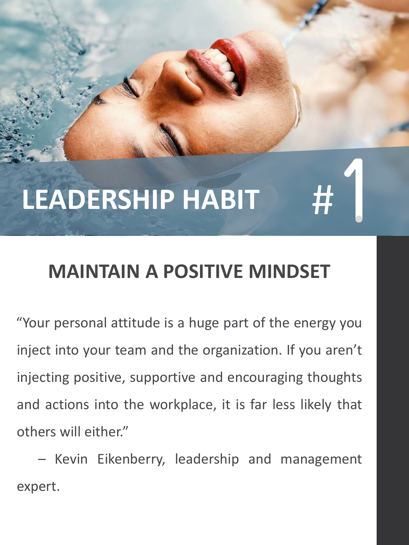### **MAINTAIN A POSITIVE MINDSET**

"Your personal attitude is a huge part of the energy you inject into your team and the organization. If you aren't injecting positive, supportive and encouraging thoughts and actions into the workplace, it is far less likely that others will either."

– Kevin Eikenberry, leadership and management expert.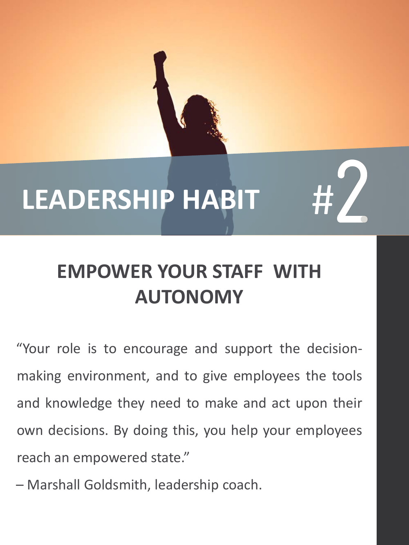

### **EMPOWER YOUR STAFF WITH AUTONOMY**

"Your role is to encourage and support the decisionmaking environment, and to give employees the tools and knowledge they need to make and act upon their own decisions. By doing this, you help your employees reach an empowered state."

– Marshall Goldsmith, leadership coach.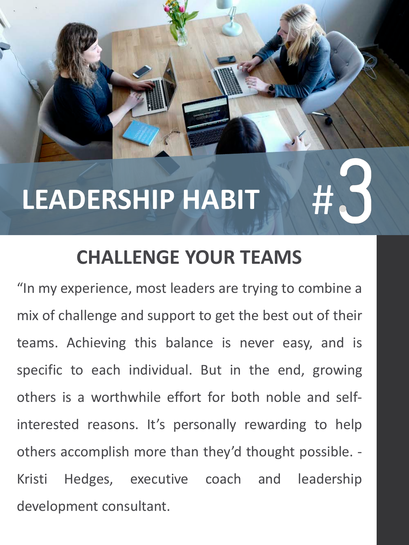#### **CHALLENGE YOUR TEAMS**

"In my experience, most leaders are trying to combine a mix of challenge and support to get the best out of their teams. Achieving this balance is never easy, and is specific to each individual. But in the end, growing others is a worthwhile effort for both noble and selfinterested reasons. It's personally rewarding to help others accomplish more than they'd thought possible. - Kristi Hedges, executive coach and leadership development consultant.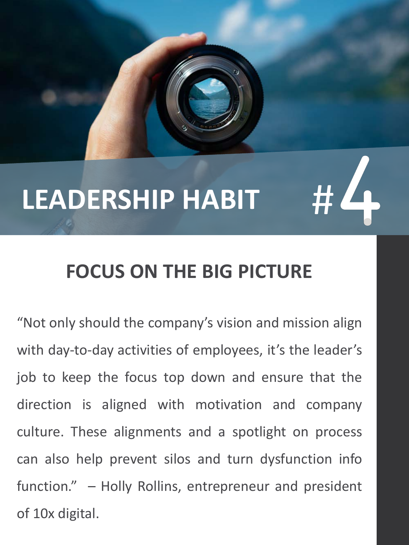#### **FOCUS ON THE BIG PICTURE**

"Not only should the company's vision and mission align with day-to-day activities of employees, it's the leader's job to keep the focus top down and ensure that the direction is aligned with motivation and company culture. These alignments and a spotlight on process can also help prevent silos and turn dysfunction info function." – Holly Rollins, entrepreneur and president of 10x digital.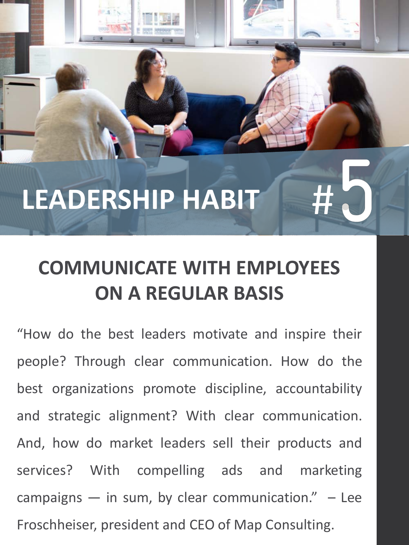#### **COMMUNICATE WITH EMPLOYEES ON A REGULAR BASIS**

"How do the best leaders motivate and inspire their people? Through clear communication. How do the best organizations promote discipline, accountability and strategic alignment? With clear communication. And, how do market leaders sell their products and services? With compelling ads and marketing campaigns  $-$  in sum, by clear communication."  $-$  Lee Froschheiser, president and CEO of Map Consulting.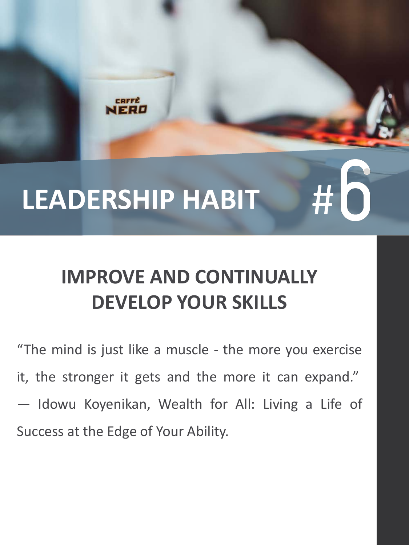**OFFE** 

### **IMPROVE AND CONTINUALLY DEVELOP YOUR SKILLS**

"The mind is just like a muscle - the more you exercise it, the stronger it gets and the more it can expand." ― Idowu Koyenikan, Wealth for All: Living a Life of Success at the Edge of Your Ability.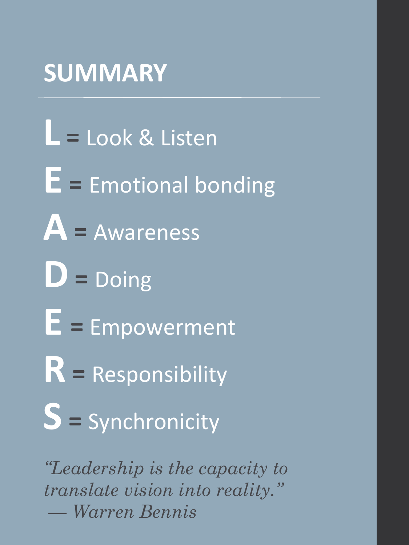### **SUMMARY**

**L <sup>=</sup>** Look & Listen **E <sup>=</sup>** Emotional bonding **A <sup>=</sup>** Awareness **D=** Doing **E <sup>=</sup>** Empowerment **R <sup>=</sup>**Responsibility **S <sup>=</sup>**Synchronicity

*"Leadership is the capacity to translate vision into reality." — Warren Bennis*